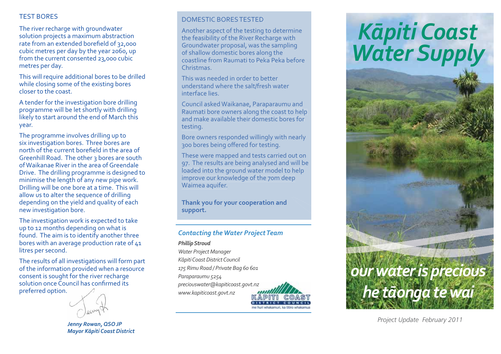# TEST BORES

The river recharge with groundwater solution projects a maximum abstraction rate from an extended borefield of 32,000 cubic metres per day by the year 2060, up from the current consented 23,000 cubic metres per day.

This will require additional bores to be drilled while closing some of the existing bores closer to the coast.

A tender for the investigation bore drilling programme will be let shortly with drilling likely to start around the end of March this year.

The programme involves drilling up to six investigation bores. Three bores are north of the current borefield in the area of Greenhill Road. The other 3 bores are south of Waikanae River in the area of Greendale Drive. The drilling programme is designed to minimise the length of any new pipe work. Drilling will be one bore at a time. This will allow us to alter the sequence of drilling depending on the yield and quality of each new investigation bore.

The investigation work is expected to take up to 12 months depending on what is found. The aim is to identify another three bores with an average production rate of 41 litres per second.

The results of all investigations will form part of the information provided when a resource consent is sought for the river recharge solution once Council has confirmed its preferred option.



*Jenny Rowan, QSO JP Mayor K-piti Coast District*

## DOMESTIC BORES TESTED

DOMESTIC BORES TESTED<br>Another aspect of the testing to determine the feasibility of the River Recharge with tne reasibility of the River Recharge with<br>Groundwater proposal, was the sampling of shallow domestic bores along the coastline from Raumati to Peka Peka before beforeChristmas.

This was needed in order to better understand where the salt/fresh water waterinterface lies.

Council asked Waikanae, Paraparaumu and Raumati bore owners along the coast to help  $\overline{a}$ Raumati bore owners along the coast to help<br>and make available their domestic bores for testing.

Bore owners responded willingly with nearly Bore owners responded willingly wit<br>300 bores being offered for testing.

300 bores being offered for testing.<br>These were mapped and tests carried out on These were mapped and tests carried out on<br>97. The results are being analysed and will be loaded into the ground water model to help  $\,$ improve our knowledge of the 70m deep deep Waimea aquifer.

**Thank you for your cooperation and and support.**

## *Contacting the Water Project Team*

#### *Phillip Stroud*

*Water Project Manager K-piti Coast District Council 175 Rimu Road / Private Bag 60 601 Paraparaumu 5254 preciouswater@kapiticoast.govt.nz www.kapiticoast.govt.nz*



# *K-<sup>p</sup>iti Coast Water Supply*